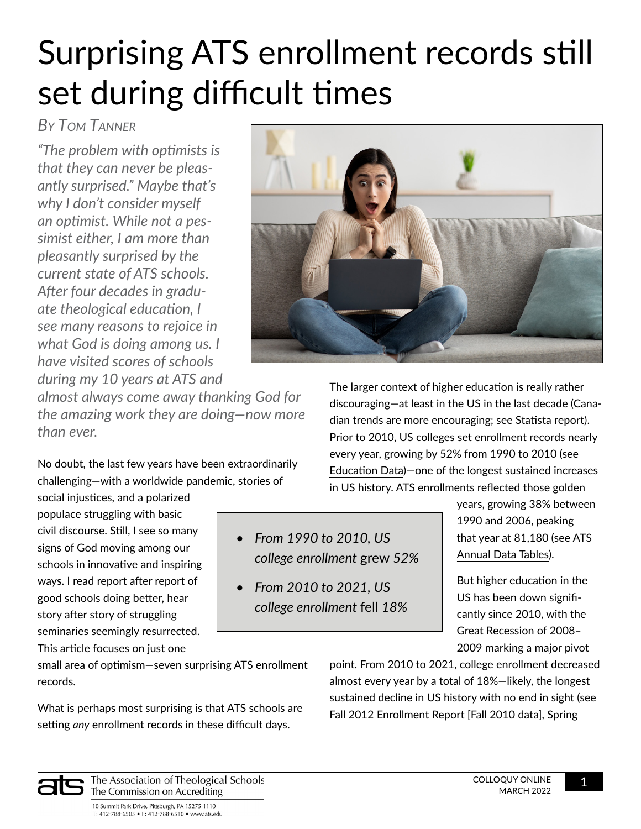# Surprising ATS enrollment records still set during difficult times

# *By Tom Tanner*

*"The problem with optimists is that they can never be pleasantly surprised." Maybe that's why I don't consider myself an optimist. While not a pessimist either, I am more than pleasantly surprised by the current state of ATS schools. After four decades in graduate theological education, I see many reasons to rejoice in what God is doing among us. I have visited scores of schools during my 10 years at ATS and* 



*almost always come away thanking God for the amazing work they are doing—now more than ever.* 

No doubt, the last few years have been extraordinarily challenging—with a worldwide pandemic, stories of

social injustices, and a polarized populace struggling with basic civil discourse. Still, I see so many signs of God moving among our schools in innovative and inspiring ways. I read report after report of good schools doing better, hear story after story of struggling seminaries seemingly resurrected.

This article focuses on just one

*• From 1990 to 2010, US college enrollment* grew *52%*

*• From 2010 to 2021, US college enrollment* fell *18%*

The larger context of higher education is really rather discouraging—at least in the US in the last decade (Canadian trends are more encouraging; see [Statista report](https://www.statista.com/statistics/447739/enrollment-of-postsecondary-students-in-canada/)). Prior to 2010, US colleges set enrollment records nearly every year, growing by 52% from 1990 to 2010 (see [Education Data](https://educationdata.org/college-enrollment-statistics))—one of the longest sustained increases in US history. ATS enrollments reflected those golden

> years, growing 38% between 1990 and 2006, peaking that year at 81,180 (see [ATS](https://www.ats.edu/Annual-Data-Tables)  [Annual Data Tables](https://www.ats.edu/Annual-Data-Tables)).

But higher education in the US has been down significantly since 2010, with the Great Recession of 2008– 2009 marking a major pivot

small area of optimism—seven surprising ATS enrollment records.

What is perhaps most surprising is that ATS schools are setting *any* enrollment records in these difficult days.

point. From 2010 to 2021, college enrollment decreased almost every year by a total of 18%—likely, the longest sustained decline in US history with no end in sight (see [Fall 2012 Enrollment Report](https://nscresearchcenter.org/wp-content/uploads/CurrentTermEnrollment-Fall2012.pdf) [Fall 2010 data], [Spring](https://nscresearchcenter.org/wp-content/uploads/CTEE_Report_Spring_2021.pdf) 



The Association of Theological Schools The Commission on Accrediting

10 Summit Park Drive, Pittsburgh, PA 15275-1110 T: 412-788-6505 • F: 412-788-6510 • www.ats.edu COLLOQUY ONLINE 1 MARCH 2022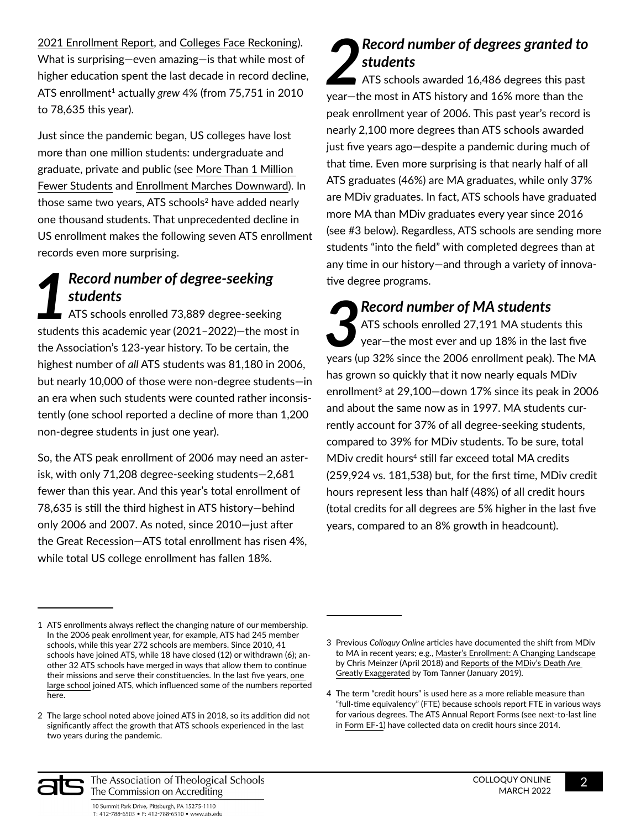[2021 Enrollment Report,](https://nscresearchcenter.org/wp-content/uploads/CTEE_Report_Spring_2021.pdf) and [Colleges Face Reckoning](https://hechingerreport.org/colleges-face-reckoning-as-plummeting-birthrate-worsens-enrollment-declines/)). What is surprising—even amazing—is that while most of higher education spent the last decade in record decline, ATS enrollment<sup>1</sup> actually grew 4% (from 75,751 in 2010 to 78,635 this year).

Just since the pandemic began, US colleges have lost more than one million students: undergraduate and graduate, private and public (see [More Than 1 Million](https://www.npr.org/2022/01/13/1072529477/more-than-1-million-fewer-students-are-in-college-the-lowest-enrollment-numbers-)  [Fewer Students](https://www.npr.org/2022/01/13/1072529477/more-than-1-million-fewer-students-are-in-college-the-lowest-enrollment-numbers-) and [Enrollment Marches Downward](https://www.insidehighered.com/news/2022/01/13/enrollment-declines-fourth-semester-amid-pandemic)). In those same two years, ATS schools<sup>2</sup> have added nearly one thousand students. That unprecedented decline in US enrollment makes the following seven ATS enrollment records even more surprising.

### *1 Record number of degree-seeking students*

ATS schools enrolled 73,889 degree-seeking students this academic year (2021–2022)—the most in the Association's 123-year history. To be certain, the highest number of *all* ATS students was 81,180 in 2006, but nearly 10,000 of those were non-degree students—in an era when such students were counted rather inconsistently (one school reported a decline of more than 1,200 non-degree students in just one year).

So, the ATS peak enrollment of 2006 may need an asterisk, with only 71,208 degree-seeking students—2,681 fewer than this year. And this year's total enrollment of 78,635 is still the third highest in ATS history—behind only 2006 and 2007. As noted, since 2010—just after the Great Recession—ATS total enrollment has risen 4%, while total US college enrollment has fallen 18%.

## *2 Record number of degrees granted to students*

ATS schools awarded 16,486 degrees this past year—the most in ATS history and 16% more than the peak enrollment year of 2006. This past year's record is nearly 2,100 more degrees than ATS schools awarded just five years ago—despite a pandemic during much of that time. Even more surprising is that nearly half of all ATS graduates (46%) are MA graduates, while only 37% are MDiv graduates. In fact, ATS schools have graduated more MA than MDiv graduates every year since 2016 (see #3 below). Regardless, ATS schools are sending more students "into the field" with completed degrees than at any time in our history—and through a variety of innovative degree programs.

**3 Record number of MA students**<br>ATS schools enrolled 27,191 MA student<br>year-the most ever and up 18% in the la<br>years (up 32% since the 2006 enrollment neak) ATS schools enrolled 27,191 MA students this year—the most ever and up 18% in the last five years (up 32% since the 2006 enrollment peak). The MA has grown so quickly that it now nearly equals MDiv enrollment<sup>3</sup> at 29,100-down 17% since its peak in 2006 and about the same now as in 1997. MA students currently account for 37% of all degree-seeking students, compared to 39% for MDiv students. To be sure, total  $MDiv$  credit hours<sup>4</sup> still far exceed total MA credits (259,924 vs. 181,538) but, for the first time, MDiv credit hours represent less than half (48%) of all credit hours (total credits for all degrees are 5% higher in the last five years, compared to an 8% growth in headcount).



The Association of Theological Schools The Commission on Accrediting

<sup>1</sup> ATS enrollments always reflect the changing nature of our membership. In the 2006 peak enrollment year, for example, ATS had 245 member schools, while this year 272 schools are members. Since 2010, 41 schools have joined ATS, while 18 have closed (12) or withdrawn (6); another 32 ATS schools have merged in ways that allow them to continue their missions and serve their constituencies. In the last five years, [one](https://www.ats.edu/member-schools/liberty-university-john-w-rawlings-school-of-divinity)  [large school](https://www.ats.edu/member-schools/liberty-university-john-w-rawlings-school-of-divinity) joined ATS, which influenced some of the numbers reported here.

<sup>2</sup> The large school noted above joined ATS in 2018, so its addition did not significantly affect the growth that ATS schools experienced in the last two years during the pandemic.

<sup>3</sup> Previous *Colloquy Online* articles have documented the shift from MDiv to MA in recent years; e.g., [Master's Enrollment: A Changing Landscape](https://www.ats.edu/files/galleries/master_s-enrollment-in-ats-member-schools.pdf) by Chris Meinzer (April 2018) and [Reports of the MDiv's Death Are](https://www.ats.edu/files/galleries/reports-of-the-mdiv-death-0001.pdf)  [Greatly Exaggerated](https://www.ats.edu/files/galleries/reports-of-the-mdiv-death-0001.pdf) by Tom Tanner (January 2019).

<sup>4</sup> The term "credit hours" is used here as a more reliable measure than "full-time equivalency" (FTE) because schools report FTE in various ways for various degrees. The ATS Annual Report Forms (see next-to-last line in [Form EF-1](https://www.ats.edu/files/galleries/enrollment-by-race-and-gender.pdf)) have collected data on credit hours since 2014.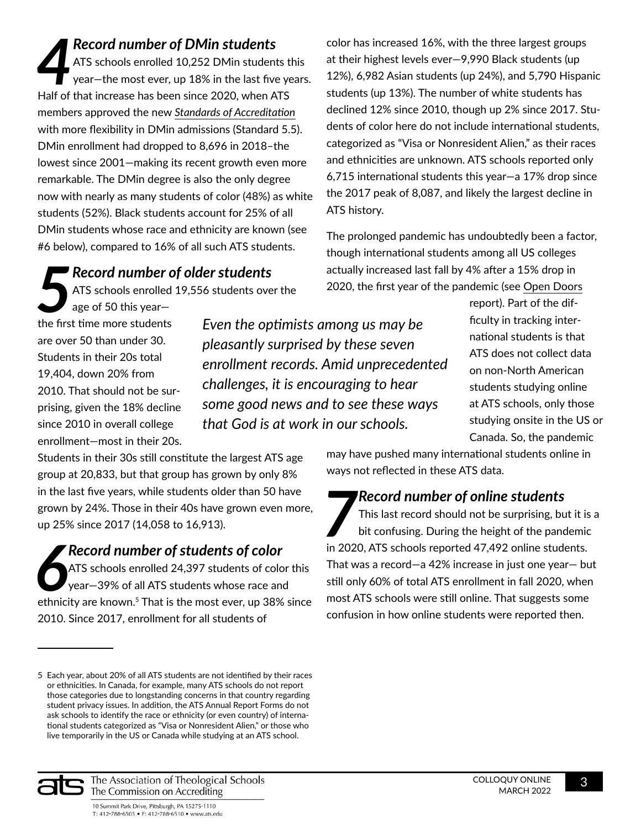*4 Record number of DMin students*  ATS schools enrolled 10,252 DMin students this  $\mathcal T$  year—the most ever, up 18% in the last five years. Half of that increase has been since 2020, when ATS members approved the new *[Standards of Accreditation](https://www.ats.edu/files/galleries/standards-of-accreditation.pdf)* with more flexibility in DMin admissions (Standard 5.5). DMin enrollment had dropped to 8,696 in 2018–the lowest since 2001—making its recent growth even more remarkable. The DMin degree is also the only degree now with nearly as many students of color (48%) as white students (52%). Black students account for 25% of all DMin students whose race and ethnicity are known (see #6 below), compared to 16% of all such ATS students.

**18 Record number of older students<br>
ATS schools enrolled 19,556 students overage of 50 this year-<br>
the first time more students** ATS schools enrolled 19,556 students over the

age of 50 this year the first time more students are over 50 than under 30. Students in their 20s total 19,404, down 20% from 2010. That should not be surprising, given the 18% decline since 2010 in overall college enrollment—most in their 20s.

*Even the optimists among us may be pleasantly surprised by these seven enrollment records. Amid unprecedented challenges, it is encouraging to hear some good news and to see these ways that God is at work in our schools.* 

ATS history.

ficulty in tracking international students is that ATS does not collect data on non-North American students studying online at ATS schools, only those studying onsite in the US or Canada. So, the pandemic

report). Part of the dif-

Students in their 30s still constitute the largest ATS age group at 20,833, but that group has grown by only 8% in the last five years, while students older than 50 have grown by 24%. Those in their 40s have grown even more, up 25% since 2017 (14,058 to 16,913).

*6 Record number of students of color*  ATS schools enrolled 24,397 students of color this year—39% of all ATS students whose race and ethnicity are known.<sup>5</sup> That is the most ever, up 38% since 2010. Since 2017, enrollment for all students of

may have pushed many international students online in ways not reflected in these ATS data.

color has increased 16%, with the three largest groups at their highest levels ever—9,990 Black students (up 12%), 6,982 Asian students (up 24%), and 5,790 Hispanic students (up 13%). The number of white students has declined 12% since 2010, though up 2% since 2017. Students of color here do not include international students, categorized as "Visa or Nonresident Alien," as their races and ethnicities are unknown. ATS schools reported only 6,715 international students this year—a 17% drop since the 2017 peak of 8,087, and likely the largest decline in

The prolonged pandemic has undoubtedly been a factor, though international students among all US colleges actually increased last fall by 4% after a 15% drop in 2020, the first year of the pandemic (see [Open Doors](https://opendoorsdata.org/annual-release/international-students/#key-findings)

*7 Record number of online students* 

This last record should not be surprising, but it is a bit confusing. During the height of the pandemic in 2020, ATS schools reported 47,492 online students. That was a record—a 42% increase in just one year— but still only 60% of total ATS enrollment in fall 2020, when most ATS schools were still online. That suggests some confusion in how online students were reported then.



The Association of Theological Schools The Commission on Accrediting

<sup>5</sup> Each year, about 20% of all ATS students are not identified by their races or ethnicities. In Canada, for example, many ATS schools do not report those categories due to longstanding concerns in that country regarding student privacy issues. In addition, the ATS Annual Report Forms do not ask schools to identify the race or ethnicity (or even country) of international students categorized as "Visa or Nonresident Alien," or those who live temporarily in the US or Canada while studying at an ATS school.